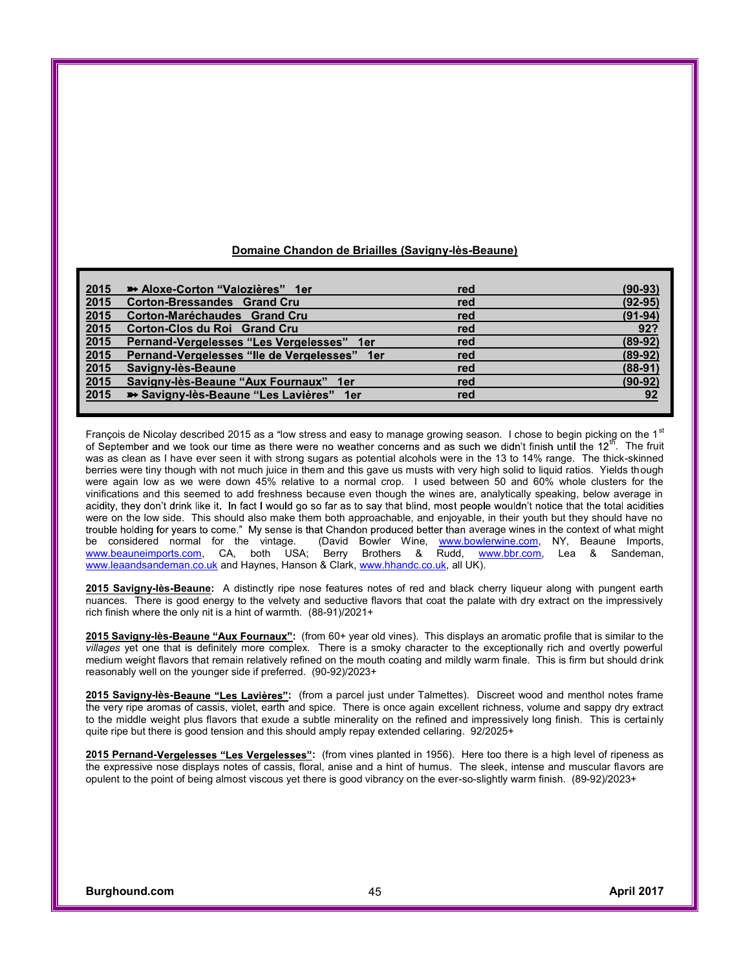## **Domaine Chandon de Briailles (Savigny-lès-Beaune)**

| 2015 | Aloxe-Corton "Valozières" 1er                | red | $(90-93)$   |
|------|----------------------------------------------|-----|-------------|
| 2015 | <b>Corton-Bressandes Grand Cru</b>           | red | $(92 - 95)$ |
| 2015 | Corton-Maréchaudes Grand Cru                 | red | $(91-94)$   |
| 2015 | Corton-Clos du Roi Grand Cru                 | red | 92?         |
| 2015 | Pernand-Vergelesses "Les Vergelesses" 1er    | red | $(89-92)$   |
| 2015 | Pernand-Vergelesses "Ile de Vergelesses" 1er | red | $(89-92)$   |
| 2015 | Savigny-lès-Beaune                           | red | $(88-91)$   |
| 2015 | Savigny-lès-Beaune "Aux Fournaux" 1er        | red | $(90-92)$   |
| 2015 | Savigny-lès-Beaune "Les Lavières" 1er        | red | 92          |
|      |                                              |     |             |

François de Nicolay described 2015 as a "low stress and easy to manage growing season. I chose to begin picking on the 1<sup>st</sup>  $\overline{\hspace{0.1cm}\raisebox{0.3mm}{}}$  The fruit was as clean as I have ever seen it with strong sugars as potential alcohols were in the 13 to 14% range. The thick-skinned berries were tiny though with not much juice in them and this gave us musts with very high solid to liquid ratios. Yields though were again low as we were down 45% relative to a normal crop. I used between 50 and 60% whole clusters for the vinifications and this seemed to add freshness because even though the wines are, analytically speaking, below average in acidity, they don't drink like it. In fact I would go so far as to say that blind, most people wouldn't notice that the total acidities were on the low side. This should also make them both approachable, and enjoyable, in their youth but they should have no trouble holding for years to come." My sense is that Chandon produced better than average wines in the context of what might be considered normal for the vintage. (David Bowler Wine, [www.bowlerwine.com](http://www.bowlerwine.com), NY, Beaune Imports, [www.beauneimports.com](http://www.beauneimports.com), CA, both USA; Berry Brothers & Rudd, [www.bbr.com](http://www.bbr.com), Lea & Sandeman, [www.leaandsandeman.co.uk](http://www.leaandsandeman.co.uk) and Haynes, Hanson & Clark, [www.hhandc.co.uk](http://www.hhandc.co.uk), all UK).

**2015 Savigny-lès-Beaune:** A distinctly ripe nose features notes of red and black cherry liqueur along with pungent earth nuances. There is good energy to the velvety and seductive flavors that coat the palate with dry extract on the impressively rich finish where the only nit is a hint of warmth. (88-91)/2021+

2015 Savigny-lès-Beaune "Aux Fournaux": (from 60+ year old vines). This displays an aromatic profile that is similar to the *villages* yet one that is definitely more complex. There is a smoky character to the exceptionally rich and overtly powerful medium weight flavors that remain relatively refined on the mouth coating and mildly warm finale. This is firm but should drink reasonably well on the younger side if preferred. (90-92)/2023+

2015 Savigny-lès-Beaune "Les Lavières": (from a parcel just under Talmettes). Discreet wood and menthol notes frame the very ripe aromas of cassis, violet, earth and spice. There is once again excellent richness, volume and sappy dry extract to the middle weight plus flavors that exude a subtle minerality on the refined and impressively long finish. This is certainly quite ripe but there is good tension and this should amply repay extended cellaring. 92/2025+

2015 Pernand-Vergelesses "Les Vergelesses": (from vines planted in 1956). Here too there is a high level of ripeness as the expressive nose displays notes of cassis, floral, anise and a hint of humus. The sleek, intense and muscular flavors are opulent to the point of being almost viscous yet there is good vibrancy on the ever-so-slightly warm finish. (89-92)/2023+